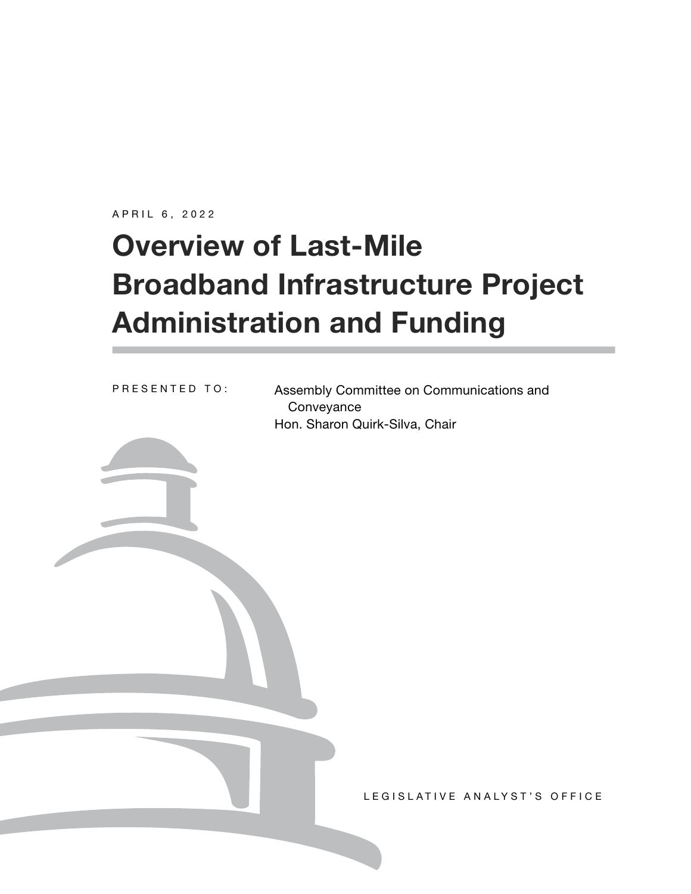APRIL 6, 2022

# **Overview of Last-Mile Broadband Infrastructure Project Administration and Funding**

Assembly Committee on Communications and **Conveyance** Hon. Sharon Quirk-Silva, Chair PRESENTED TO: LEGISLATIVE ANALYST'S OFFICE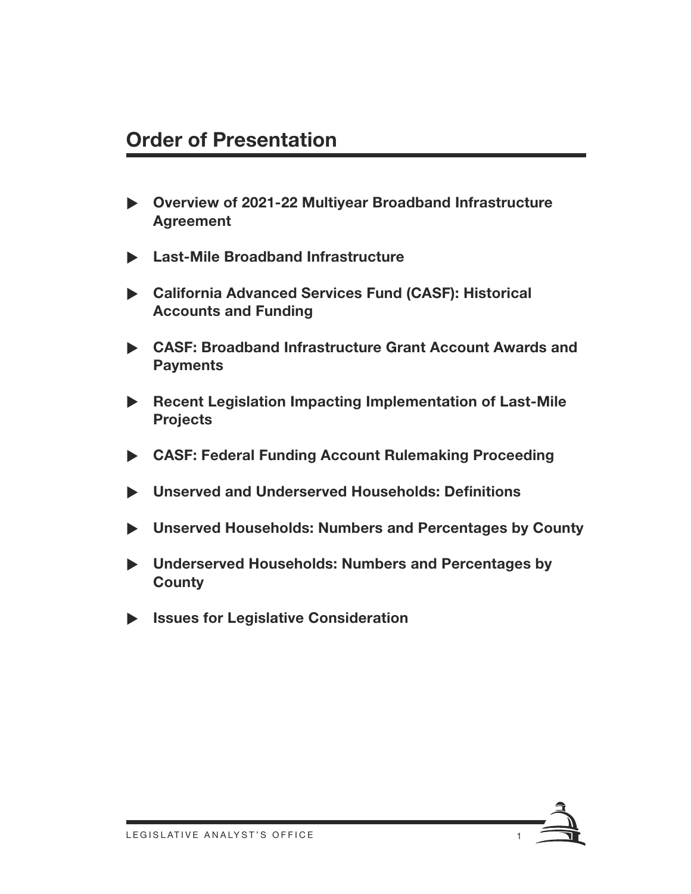#### **Order of Presentation**

- X **Overview of 2021-22 Multiyear Broadband Infrastructure Agreement**
- X **Last-Mile Broadband Infrastructure**
- X **California Advanced Services Fund (CASF): Historical Accounts and Funding**
- ▶ CASF: Broadband Infrastructure Grant Account Awards and **Payments**
- ▶ Recent Legislation Impacting Implementation of Last-Mile **Projects**
- X **CASF: Federal Funding Account Rulemaking Proceeding**
- X **Unserved and Underserved Households: Definitions**
- X **Unserved Households: Numbers and Percentages by County**
- X **Underserved Households: Numbers and Percentages by County**
- X **Issues for Legislative Consideration**

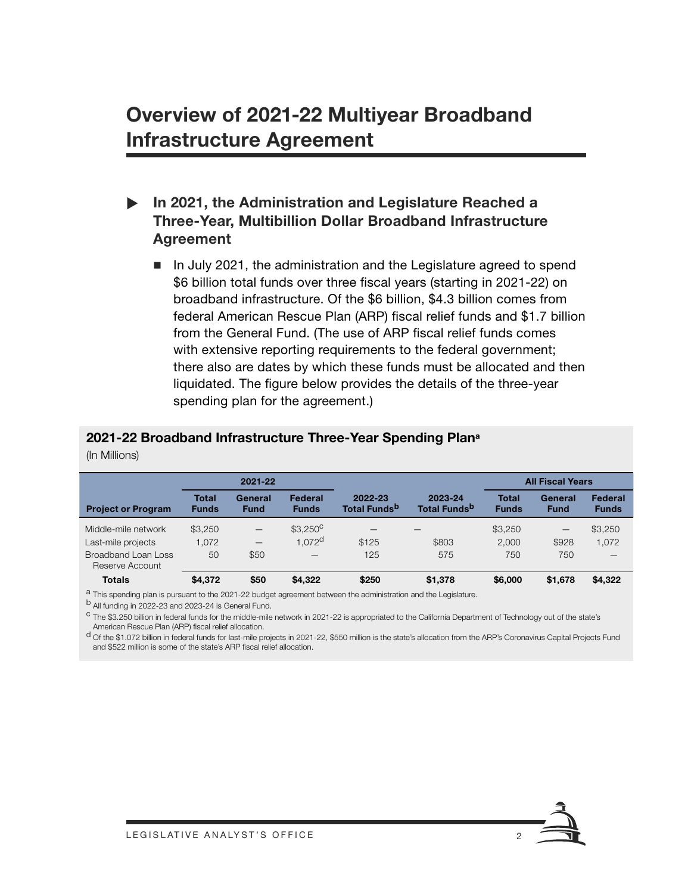### **Overview of 2021-22 Multiyear Broadband Infrastructure Agreement**

#### In 2021, the Administration and Legislature Reached a **Three-Year, Multibillion Dollar Broadband Infrastructure Agreement**

■ In July 2021, the administration and the Legislature agreed to spend \$6 billion total funds over three fiscal years (starting in 2021-22) on broadband infrastructure. Of the \$6 billion, \$4.3 billion comes from federal American Rescue Plan (ARP) fiscal relief funds and \$1.7 billion from the General Fund. (The use of ARP fiscal relief funds comes with extensive reporting requirements to the federal government; there also are dates by which these funds must be allocated and then liquidated. The figure below provides the details of the three-year spending plan for the agreement.)

#### **2021-22 Broadband Infrastructure Three-Year Spending Plana**

(In Millions)

|                                        | 2021-22                      |                        |                         |                                     | <b>All Fiscal Years</b>             |                              |                          |                         |
|----------------------------------------|------------------------------|------------------------|-------------------------|-------------------------------------|-------------------------------------|------------------------------|--------------------------|-------------------------|
| <b>Project or Program</b>              | <b>Total</b><br><b>Funds</b> | General<br><b>Fund</b> | Federal<br><b>Funds</b> | 2022-23<br>Total Funds <sup>b</sup> | 2023-24<br>Total Funds <sup>b</sup> | <b>Total</b><br><b>Funds</b> | General<br><b>Fund</b>   | Federal<br><b>Funds</b> |
| Middle-mile network                    | \$3,250                      | $\qquad \qquad -$      | $$3.250^{\circ}$        |                                     |                                     | \$3,250                      | $\overline{\phantom{0}}$ | \$3,250                 |
| Last-mile projects                     | 1,072                        |                        | 1.072 <sup>d</sup>      | \$125                               | \$803                               | 2.000                        | \$928                    | 1.072                   |
| Broadband Loan Loss<br>Reserve Account | 50                           | \$50                   | –                       | 125                                 | 575                                 | 750                          | 750                      |                         |
| <b>Totals</b>                          | \$4,372                      | \$50                   | \$4,322                 | \$250                               | \$1,378                             | \$6,000                      | \$1,678                  | \$4,322                 |
|                                        |                              |                        |                         |                                     |                                     |                              |                          |                         |

<sup>a</sup> This spending plan is pursuant to the 2021-22 budget agreement between the administration and the Legislature.

<sup>b</sup> All funding in 2022-23 and 2023-24 is General Fund.

<sup>c</sup> The \$3.250 billion in federal funds for the middle-mile network in 2021-22 is appropriated to the California Department of Technology out of the state's American Rescue Plan (ARP) fiscal relief allocation.

d Of the \$1.072 billion in federal funds for last-mile projects in 2021-22, \$550 million is the state's allocation from the ARP's Coronavirus Capital Projects Fund and \$522 million is some of the state's ARP fiscal relief allocation.

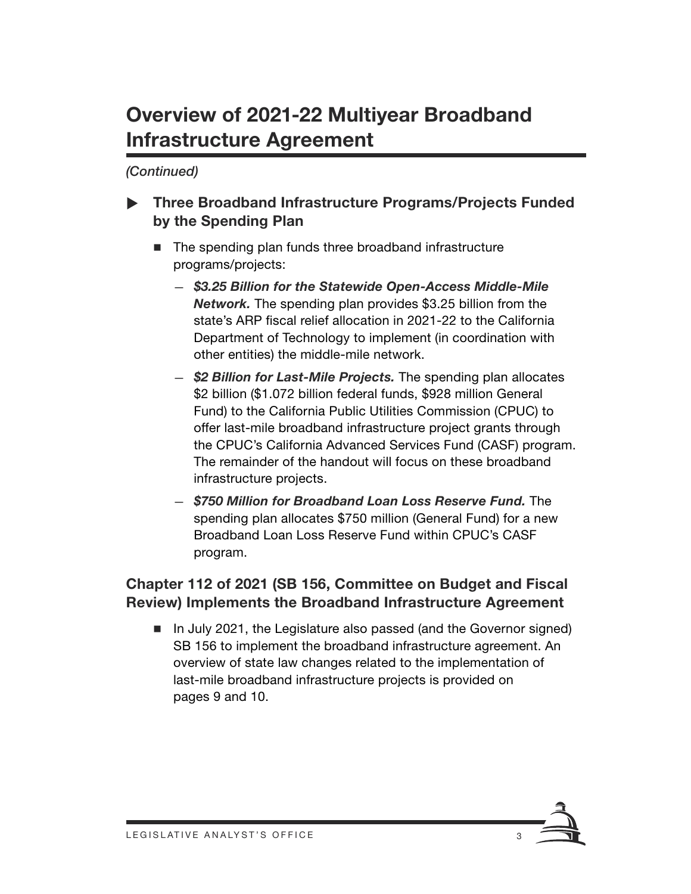### **Overview of 2021-22 Multiyear Broadband Infrastructure Agreement**

*(Continued)*

- **Three Broadband Infrastructure Programs/Projects Funded by the Spending Plan**
	- The spending plan funds three broadband infrastructure programs/projects:
		- *\$3.25 Billion for the Statewide Open-Access Middle-Mile Network.* The spending plan provides \$3.25 billion from the state's ARP fiscal relief allocation in 2021-22 to the California Department of Technology to implement (in coordination with other entities) the middle-mile network.
		- *\$2 Billion for Last-Mile Projects.* The spending plan allocates \$2 billion (\$1.072 billion federal funds, \$928 million General Fund) to the California Public Utilities Commission (CPUC) to offer last-mile broadband infrastructure project grants through the CPUC's California Advanced Services Fund (CASF) program. The remainder of the handout will focus on these broadband infrastructure projects.
		- *\$750 Million for Broadband Loan Loss Reserve Fund.* The spending plan allocates \$750 million (General Fund) for a new Broadband Loan Loss Reserve Fund within CPUC's CASF program.

#### **Chapter 112 of 2021 (SB 156, Committee on Budget and Fiscal Review) Implements the Broadband Infrastructure Agreement**

In July 2021, the Legislature also passed (and the Governor signed) SB 156 to implement the broadband infrastructure agreement. An overview of state law changes related to the implementation of last-mile broadband infrastructure projects is provided on pages 9 and 10.

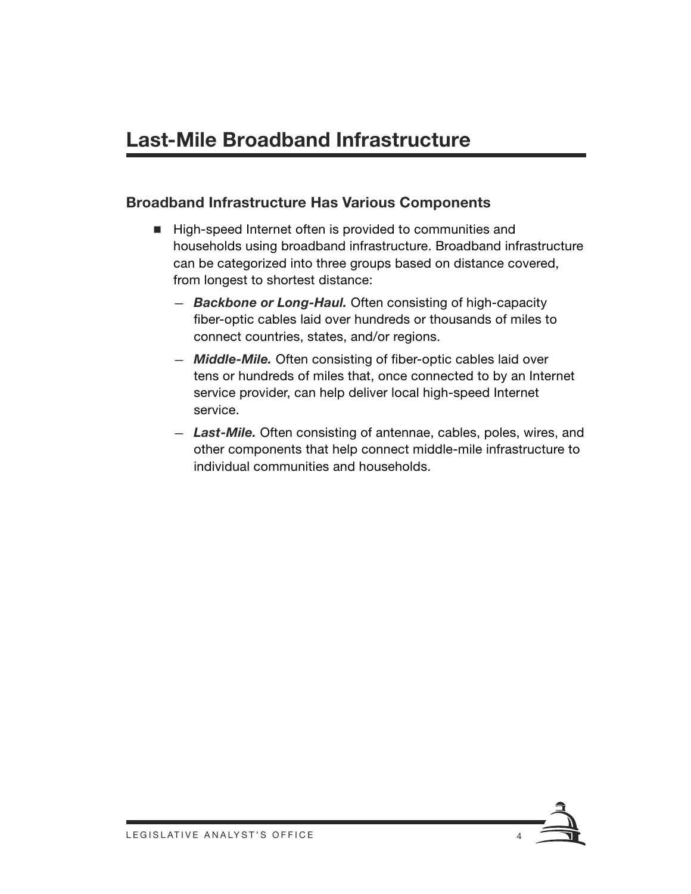#### **Broadband Infrastructure Has Various Components**

- High-speed Internet often is provided to communities and households using broadband infrastructure. Broadband infrastructure can be categorized into three groups based on distance covered, from longest to shortest distance:
	- *Backbone or Long-Haul.* Often consisting of high-capacity fiber-optic cables laid over hundreds or thousands of miles to connect countries, states, and/or regions.
	- *Middle-Mile.* Often consisting of fiber-optic cables laid over tens or hundreds of miles that, once connected to by an Internet service provider, can help deliver local high-speed Internet service.
	- *Last-Mile.* Often consisting of antennae, cables, poles, wires, and other components that help connect middle-mile infrastructure to individual communities and households.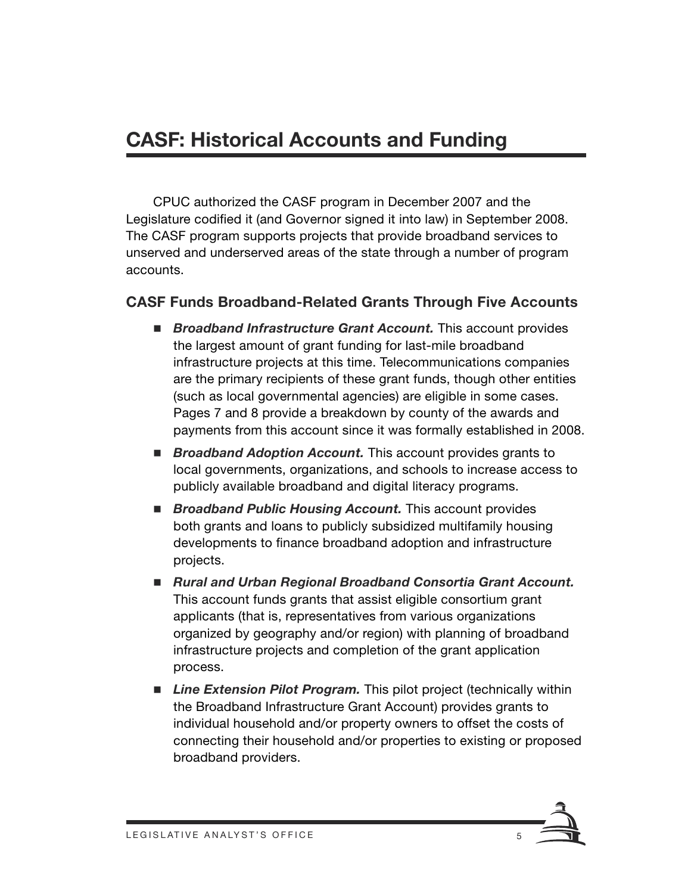### **CASF: Historical Accounts and Funding**

CPUC authorized the CASF program in December 2007 and the Legislature codified it (and Governor signed it into law) in September 2008. The CASF program supports projects that provide broadband services to unserved and underserved areas of the state through a number of program accounts.

#### **CASF Funds Broadband-Related Grants Through Five Accounts**

- *Broadband Infrastructure Grant Account*. This account provides the largest amount of grant funding for last-mile broadband infrastructure projects at this time. Telecommunications companies are the primary recipients of these grant funds, though other entities (such as local governmental agencies) are eligible in some cases. Pages 7 and 8 provide a breakdown by county of the awards and payments from this account since it was formally established in 2008.
- **Broadband Adoption Account.** This account provides grants to local governments, organizations, and schools to increase access to publicly available broadband and digital literacy programs.
- **Broadband Public Housing Account.** This account provides both grants and loans to publicly subsidized multifamily housing developments to finance broadband adoption and infrastructure projects.
- *Rural and Urban Regional Broadband Consortia Grant Account.*  This account funds grants that assist eligible consortium grant applicants (that is, representatives from various organizations organized by geography and/or region) with planning of broadband infrastructure projects and completion of the grant application process.
- *Line Extension Pilot Program.* This pilot project (technically within the Broadband Infrastructure Grant Account) provides grants to individual household and/or property owners to offset the costs of connecting their household and/or properties to existing or proposed broadband providers.

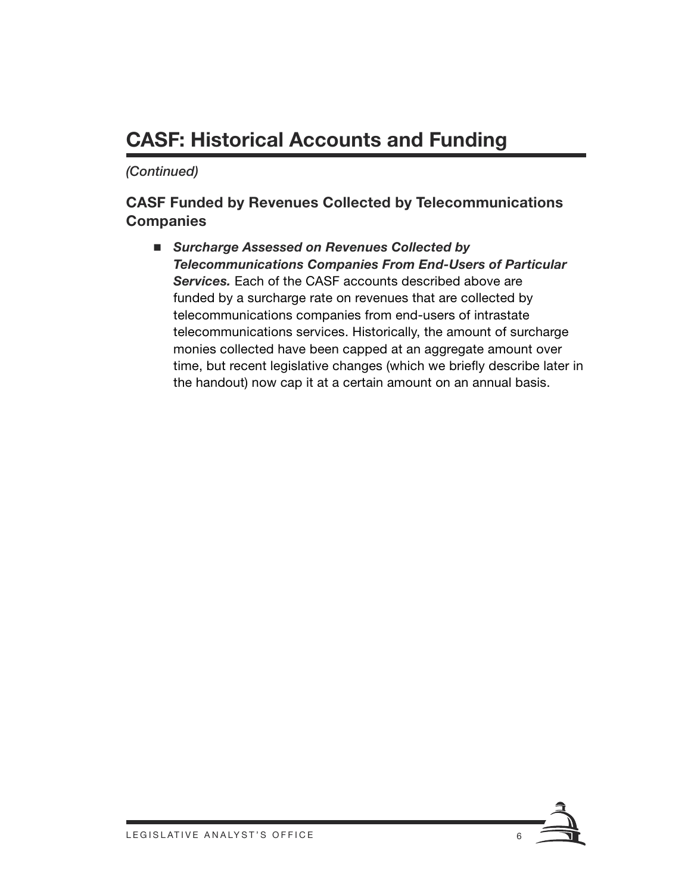### **CASF: Historical Accounts and Funding**

*(Continued)*

#### **CASF Funded by Revenues Collected by Telecommunications Companies**

 *Surcharge Assessed on Revenues Collected by Telecommunications Companies From End-Users of Particular Services.* Each of the CASF accounts described above are funded by a surcharge rate on revenues that are collected by telecommunications companies from end-users of intrastate telecommunications services. Historically, the amount of surcharge monies collected have been capped at an aggregate amount over time, but recent legislative changes (which we briefly describe later in the handout) now cap it at a certain amount on an annual basis.

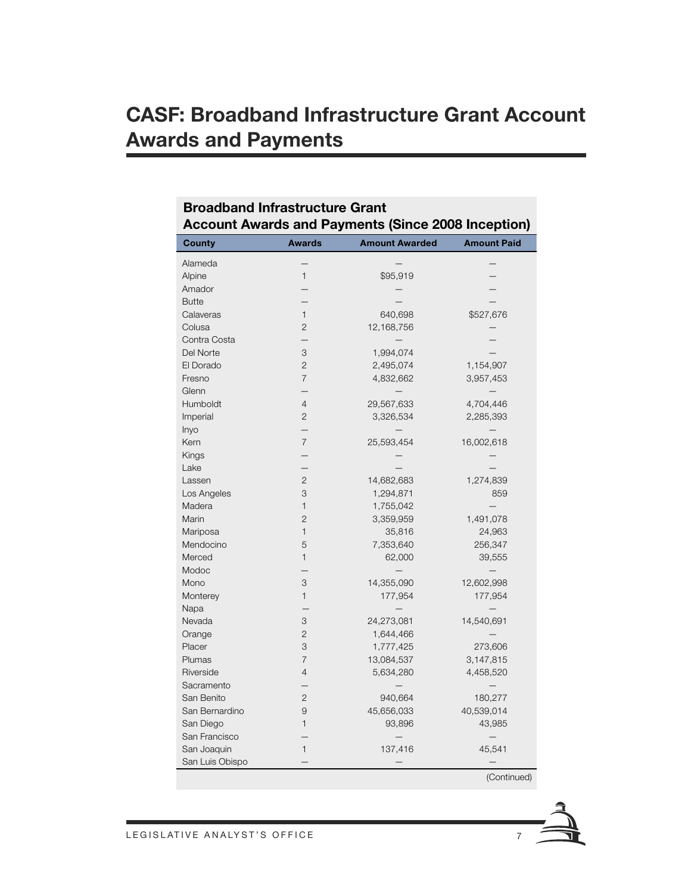| <b>Account Awards and Payments (Since 2008 Inception)</b> |                          |                       |                          |
|-----------------------------------------------------------|--------------------------|-----------------------|--------------------------|
| <b>County</b>                                             | <b>Awards</b>            | <b>Amount Awarded</b> | <b>Amount Paid</b>       |
| Alameda                                                   |                          |                       |                          |
| Alpine                                                    | 1                        | \$95,919              |                          |
| Amador                                                    |                          |                       |                          |
| <b>Butte</b>                                              |                          |                       |                          |
| Calaveras                                                 | $\mathbf{1}$             | 640,698               | \$527,676                |
| Colusa                                                    | 2                        | 12,168,756            |                          |
| Contra Costa                                              |                          |                       |                          |
| Del Norte                                                 | 3                        | 1,994,074             |                          |
| El Dorado                                                 | $\overline{2}$           | 2,495,074             | 1,154,907                |
| Fresno                                                    | $\overline{7}$           | 4,832,662             | 3,957,453                |
| Glenn                                                     |                          |                       |                          |
| Humboldt                                                  | $\overline{4}$           | 29,567,633            | 4,704,446                |
| Imperial                                                  | $\overline{c}$           | 3,326,534             | 2,285,393                |
| Inyo                                                      | $\overline{\phantom{0}}$ |                       |                          |
| Kern                                                      | $\overline{7}$           | 25,593,454            | 16,002,618               |
| Kings                                                     |                          |                       |                          |
| Lake                                                      |                          |                       |                          |
| Lassen                                                    | $\overline{c}$           | 14,682,683            | 1,274,839                |
| Los Angeles                                               | 3                        | 1,294,871             | 859                      |
| Madera                                                    | $\mathbf{1}$             | 1,755,042             |                          |
| Marin                                                     | $\overline{2}$           | 3,359,959             | 1,491,078                |
| Mariposa                                                  | $\mathbf{1}$             | 35,816                | 24,963                   |
| Mendocino                                                 | 5                        | 7,353,640             | 256,347                  |
| Merced                                                    | 1                        | 62,000                | 39,555                   |
| Modoc                                                     |                          |                       |                          |
| Mono                                                      | 3                        | 14,355,090            | 12,602,998               |
| Monterey                                                  | $\mathbf{1}$             | 177,954               | 177,954                  |
| Napa                                                      |                          |                       |                          |
| Nevada                                                    | 3                        | 24,273,081            | 14,540,691               |
| Orange                                                    | $\overline{c}$           | 1,644,466             |                          |
| Placer                                                    | 3                        | 1,777,425             | 273,606                  |
| Plumas                                                    | $\overline{7}$           | 13,084,537            | 3,147,815                |
| Riverside                                                 | 4                        | 5,634,280             | 4,458,520                |
| Sacramento                                                |                          |                       |                          |
| San Benito                                                | 2                        | 940,664               | 180,277                  |
| San Bernardino                                            | 9                        | 45,656,033            | 40,539,014               |
| San Diego                                                 | $\mathbf{1}$             | 93,896                | 43,985                   |
| San Francisco                                             |                          |                       | $\overline{\phantom{0}}$ |
| San Joaquin                                               | $\mathbf{1}$             | 137,416               | 45,541                   |
| San Luis Obispo                                           |                          |                       |                          |

#### **Broadband Infrastructure Grant Account Awards and Payments (Since 2008 Inception)**

(Continued)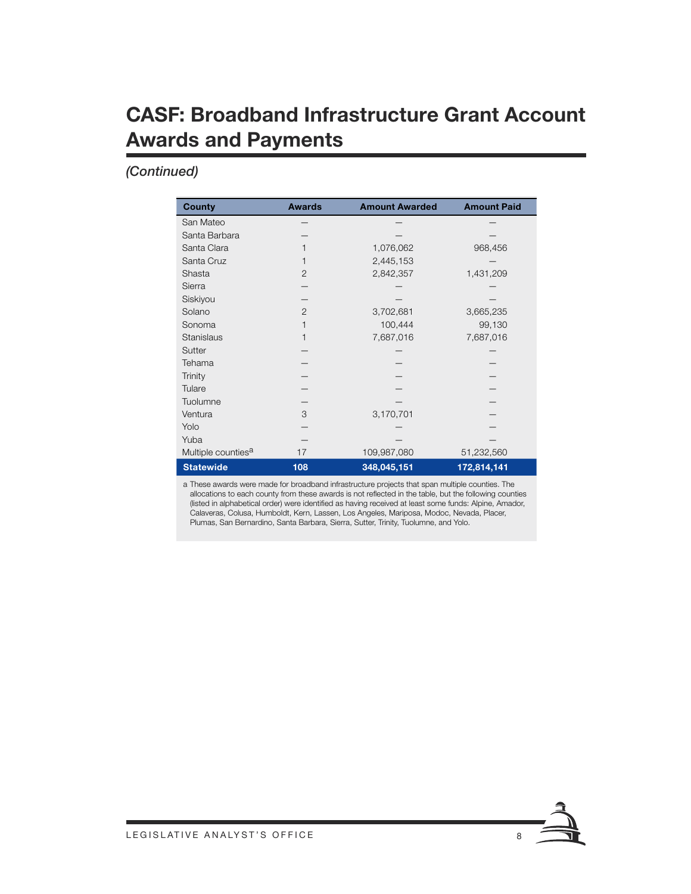### **CASF: Broadband Infrastructure Grant Account Awards and Payments**

#### *(Continued)*

| <b>County</b>                  | <b>Awards</b>  | <b>Amount Awarded</b> | <b>Amount Paid</b> |
|--------------------------------|----------------|-----------------------|--------------------|
| San Mateo                      |                |                       |                    |
| Santa Barbara                  |                |                       |                    |
| Santa Clara                    | 1              | 1,076,062             | 968,456            |
| Santa Cruz                     | 1              | 2,445,153             |                    |
| Shasta                         | $\overline{2}$ | 2,842,357             | 1,431,209          |
| Sierra                         |                |                       |                    |
| Siskiyou                       |                |                       |                    |
| Solano                         | $\overline{2}$ | 3,702,681             | 3,665,235          |
| Sonoma                         |                | 100,444               | 99,130             |
| Stanislaus                     |                | 7,687,016             | 7,687,016          |
| Sutter                         |                |                       |                    |
| Tehama                         |                |                       |                    |
| Trinity                        |                |                       |                    |
| Tulare                         |                |                       |                    |
| Tuolumne                       |                |                       |                    |
| Ventura                        | 3              | 3,170,701             |                    |
| Yolo                           |                |                       |                    |
| Yuba                           |                |                       |                    |
| Multiple counties <sup>a</sup> | 17             | 109,987,080           | 51,232,560         |
| <b>Statewide</b>               | 108            | 348,045,151           | 172,814,141        |

a These awards were made for broadband infrastructure projects that span multiple counties. The allocations to each county from these awards is not reflected in the table, but the following counties (listed in alphabetical order) were identified as having received at least some funds: Alpine, Amador, Calaveras, Colusa, Humboldt, Kern, Lassen, Los Angeles, Mariposa, Modoc, Nevada, Placer, Plumas, San Bernardino, Santa Barbara, Sierra, Sutter, Trinity, Tuolumne, and Yolo.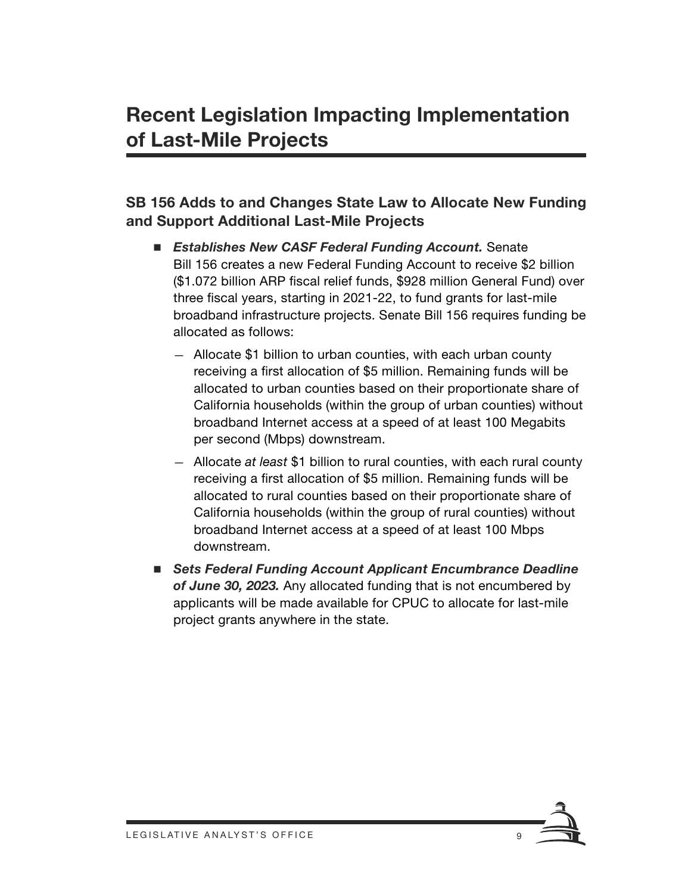#### **SB 156 Adds to and Changes State Law to Allocate New Funding and Support Additional Last-Mile Projects**

- *Establishes New CASF Federal Funding Account.* Senate Bill 156 creates a new Federal Funding Account to receive \$2 billion (\$1.072 billion ARP fiscal relief funds, \$928 million General Fund) over three fiscal years, starting in 2021-22, to fund grants for last-mile broadband infrastructure projects. Senate Bill 156 requires funding be allocated as follows:
	- Allocate \$1 billion to urban counties, with each urban county receiving a first allocation of \$5 million. Remaining funds will be allocated to urban counties based on their proportionate share of California households (within the group of urban counties) without broadband Internet access at a speed of at least 100 Megabits per second (Mbps) downstream.
	- Allocate *at least* \$1 billion to rural counties, with each rural county receiving a first allocation of \$5 million. Remaining funds will be allocated to rural counties based on their proportionate share of California households (within the group of rural counties) without broadband Internet access at a speed of at least 100 Mbps downstream.
- *Sets Federal Funding Account Applicant Encumbrance Deadline of June 30, 2023.* Any allocated funding that is not encumbered by applicants will be made available for CPUC to allocate for last-mile project grants anywhere in the state.

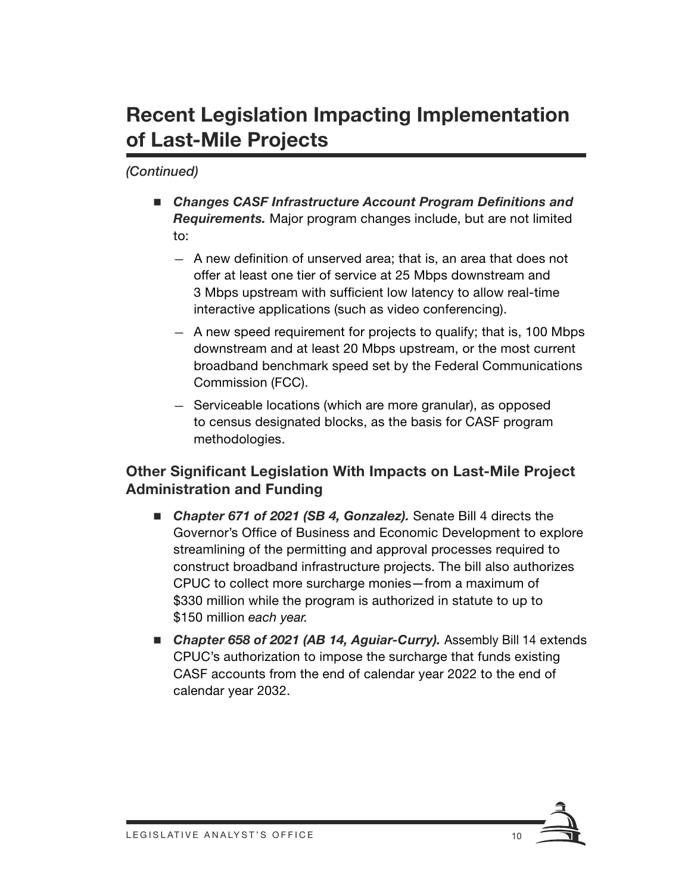### **Recent Legislation Impacting Implementation of Last-Mile Projects**

*(Continued)*

- Changes CASF Infrastructure Account Program Definitions and *Requirements.* Major program changes include, but are not limited to:
	- A new definition of unserved area; that is, an area that does not offer at least one tier of service at 25 Mbps downstream and 3 Mbps upstream with sufficient low latency to allow real-time interactive applications (such as video conferencing).
	- A new speed requirement for projects to qualify; that is, 100 Mbps downstream and at least 20 Mbps upstream, or the most current broadband benchmark speed set by the Federal Communications Commission (FCC).
	- Serviceable locations (which are more granular), as opposed to census designated blocks, as the basis for CASF program methodologies.

#### **Other Significant Legislation With Impacts on Last-Mile Project Administration and Funding**

- Chapter 671 of 2021 (SB 4, Gonzalez). Senate Bill 4 directs the Governor's Office of Business and Economic Development to explore streamlining of the permitting and approval processes required to construct broadband infrastructure projects. The bill also authorizes CPUC to collect more surcharge monies—from a maximum of \$330 million while the program is authorized in statute to up to \$150 million *each year.*
- Chapter 658 of 2021 (AB 14, Aguiar-Curry). Assembly Bill 14 extends CPUC's authorization to impose the surcharge that funds existing CASF accounts from the end of calendar year 2022 to the end of calendar year 2032.

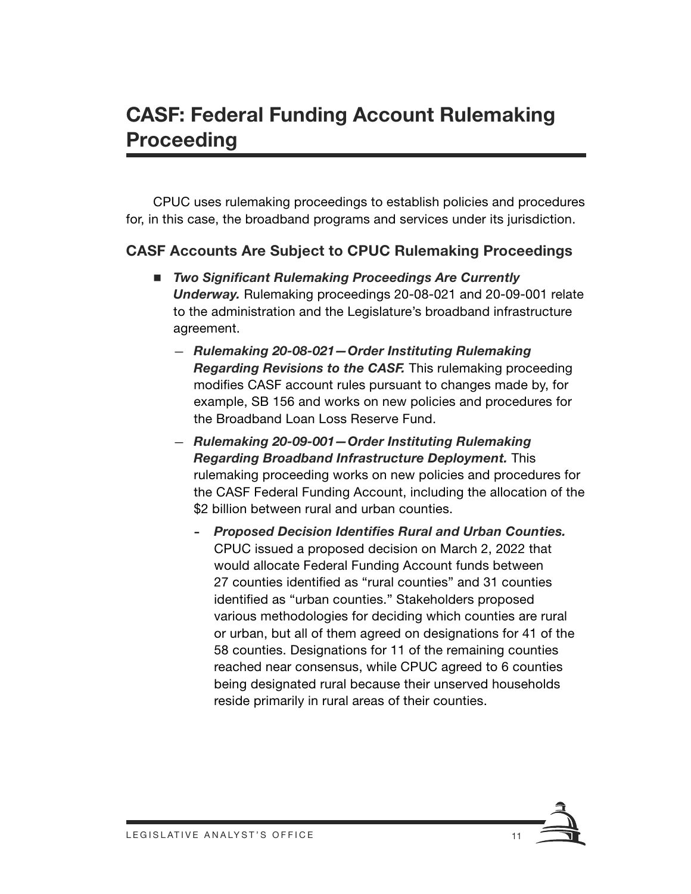### **CASF: Federal Funding Account Rulemaking Proceeding**

CPUC uses rulemaking proceedings to establish policies and procedures for, in this case, the broadband programs and services under its jurisdiction.

#### **CASF Accounts Are Subject to CPUC Rulemaking Proceedings**

- *Two Significant Rulemaking Proceedings Are Currently Underway.* Rulemaking proceedings 20-08-021 and 20-09-001 relate to the administration and the Legislature's broadband infrastructure agreement.
	- *Rulemaking 20-08-021—Order Instituting Rulemaking Regarding Revisions to the CASF.* This rulemaking proceeding modifies CASF account rules pursuant to changes made by, for example, SB 156 and works on new policies and procedures for the Broadband Loan Loss Reserve Fund.
	- *Rulemaking 20-09-001—Order Instituting Rulemaking Regarding Broadband Infrastructure Deployment.* This rulemaking proceeding works on new policies and procedures for the CASF Federal Funding Account, including the allocation of the \$2 billion between rural and urban counties.
		- *Proposed Decision Identifies Rural and Urban Counties.*  CPUC issued a proposed decision on March 2, 2022 that would allocate Federal Funding Account funds between 27 counties identified as "rural counties" and 31 counties identified as "urban counties." Stakeholders proposed various methodologies for deciding which counties are rural or urban, but all of them agreed on designations for 41 of the 58 counties. Designations for 11 of the remaining counties reached near consensus, while CPUC agreed to 6 counties being designated rural because their unserved households reside primarily in rural areas of their counties.

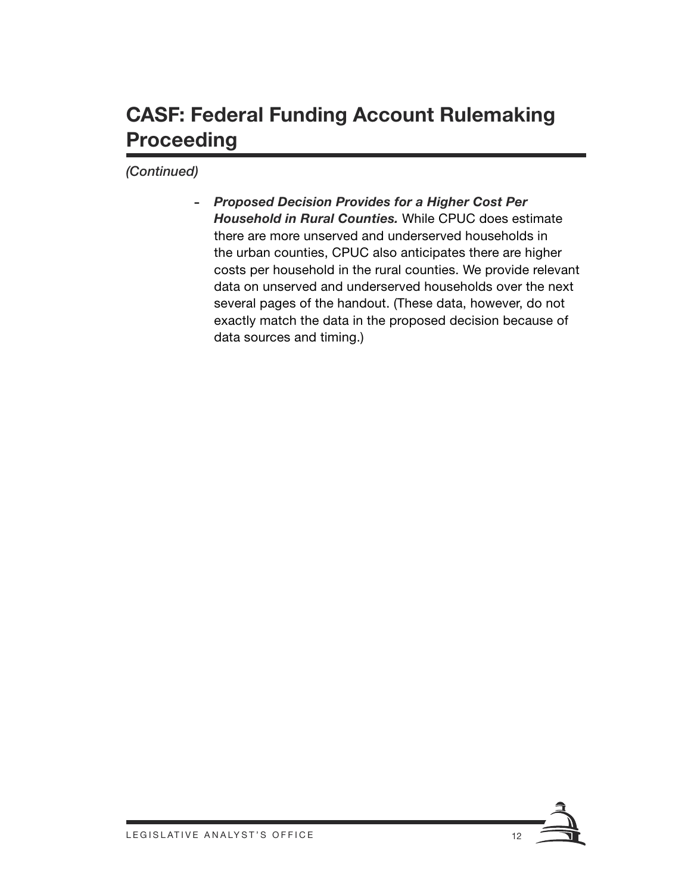### **CASF: Federal Funding Account Rulemaking Proceeding**

*(Continued)*

- *Proposed Decision Provides for a Higher Cost Per Household in Rural Counties.* While CPUC does estimate there are more unserved and underserved households in the urban counties, CPUC also anticipates there are higher costs per household in the rural counties. We provide relevant data on unserved and underserved households over the next several pages of the handout. (These data, however, do not exactly match the data in the proposed decision because of data sources and timing.)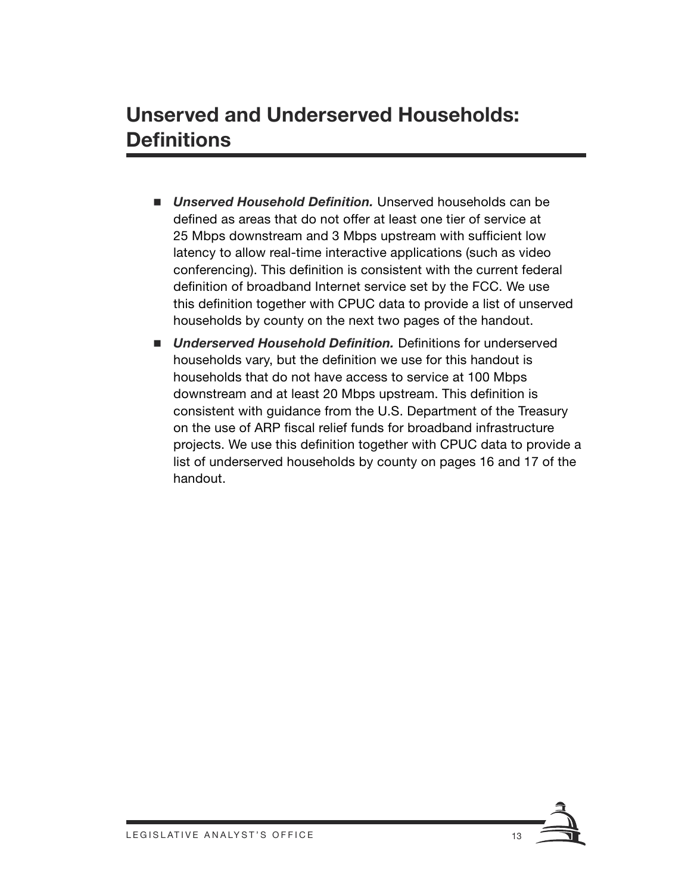### **Unserved and Underserved Households: Definitions**

- *Unserved Household Definition.* Unserved households can be defined as areas that do not offer at least one tier of service at 25 Mbps downstream and 3 Mbps upstream with sufficient low latency to allow real-time interactive applications (such as video conferencing). This definition is consistent with the current federal definition of broadband Internet service set by the FCC. We use this definition together with CPUC data to provide a list of unserved households by county on the next two pages of the handout.
- *Underserved Household Definition.* Definitions for underserved households vary, but the definition we use for this handout is households that do not have access to service at 100 Mbps downstream and at least 20 Mbps upstream. This definition is consistent with guidance from the U.S. Department of the Treasury on the use of ARP fiscal relief funds for broadband infrastructure projects. We use this definition together with CPUC data to provide a list of underserved households by county on pages 16 and 17 of the handout.

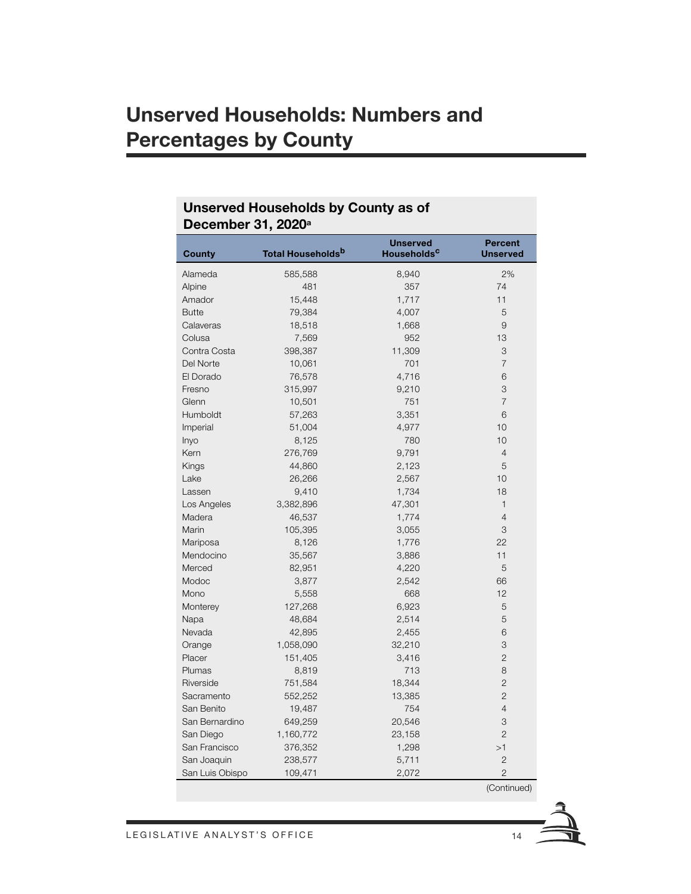### **Unserved Households: Numbers and Percentages by County**

| December 31, 2020ª |                           |                                            |                                   |  |
|--------------------|---------------------------|--------------------------------------------|-----------------------------------|--|
| <b>County</b>      | <b>Total Households</b> b | <b>Unserved</b><br>Households <sup>c</sup> | <b>Percent</b><br><b>Unserved</b> |  |
| Alameda            | 585,588                   | 8,940                                      | 2%                                |  |
| Alpine             | 481                       | 357                                        | 74                                |  |
| Amador             | 15,448                    | 1,717                                      | 11                                |  |
| <b>Butte</b>       | 79,384                    | 4,007                                      | 5                                 |  |
| Calaveras          | 18,518                    | 1,668                                      | 9                                 |  |
| Colusa             | 7,569                     | 952                                        | 13                                |  |
| Contra Costa       | 398,387                   | 11,309                                     | 3                                 |  |
| Del Norte          | 10,061                    | 701                                        | $\overline{7}$                    |  |
| El Dorado          | 76,578                    | 4,716                                      | 6                                 |  |
| Fresno             | 315,997                   | 9,210                                      | 3                                 |  |
| Glenn              | 10,501                    | 751                                        | $\overline{7}$                    |  |
| Humboldt           | 57,263                    | 3,351                                      | 6                                 |  |
| Imperial           | 51,004                    | 4,977                                      | 10                                |  |
| Inyo               | 8,125                     | 780                                        | 10                                |  |
| Kern               | 276,769                   | 9,791                                      | $\overline{4}$                    |  |
| Kings              | 44,860                    | 2,123                                      | 5                                 |  |
| Lake               | 26,266                    | 2,567                                      | 10                                |  |
| Lassen             | 9,410                     | 1,734                                      | 18                                |  |
| Los Angeles        | 3,382,896                 | 47,301                                     | $\mathbf{1}$                      |  |
| Madera             | 46,537                    | 1,774                                      | $\overline{4}$                    |  |
| Marin              | 105,395                   | 3,055                                      | 3                                 |  |
| Mariposa           | 8,126                     | 1,776                                      | 22                                |  |
| Mendocino          | 35,567                    | 3,886                                      | 11                                |  |
| Merced             | 82,951                    | 4,220                                      | 5                                 |  |
| Modoc              | 3,877                     | 2,542                                      | 66                                |  |
| Mono               | 5,558                     | 668                                        | 12                                |  |
| Monterey           | 127,268                   | 6,923                                      | 5                                 |  |
| Napa               | 48,684                    | 2,514                                      | 5                                 |  |
| Nevada             | 42,895                    | 2,455                                      | 6                                 |  |
| Orange             | 1,058,090                 | 32,210                                     | 3                                 |  |
| Placer             | 151,405                   | 3,416                                      | $\mathbf{2}$                      |  |
| Plumas             | 8,819                     | 713                                        | 8                                 |  |
| Riverside          | 751,584                   | 18,344                                     | $\overline{c}$                    |  |
| Sacramento         | 552,252                   | 13,385                                     | $\overline{c}$                    |  |
| San Benito         | 19,487                    | 754                                        | $\overline{4}$                    |  |
| San Bernardino     | 649,259                   | 20,546                                     | 3                                 |  |
| San Diego          | 1,160,772                 | 23,158                                     | $\overline{2}$                    |  |
| San Francisco      | 376,352                   | 1,298                                      | >1                                |  |
| San Joaquin        | 238,577                   | 5,711                                      | $\overline{2}$                    |  |
| San Luis Obispo    | 109,471                   | 2,072                                      | $\overline{2}$                    |  |

#### **Unserved Households by County as of December 31, 2020a**

(Continued)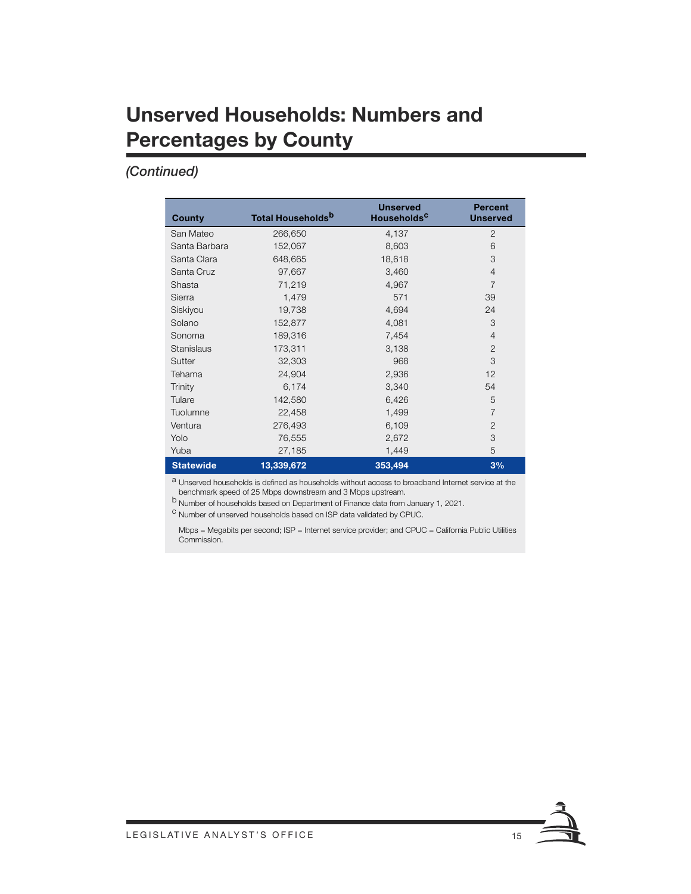### **Unserved Households: Numbers and Percentages by County**

#### *(Continued)*

| County           | <b>Total Households<sup>b</sup></b> | <b>Unserved</b><br>Households <sup>c</sup> | <b>Percent</b><br><b>Unserved</b> |
|------------------|-------------------------------------|--------------------------------------------|-----------------------------------|
| San Mateo        | 266,650                             | 4,137                                      | $\overline{2}$                    |
| Santa Barbara    | 152,067                             | 8,603                                      | 6                                 |
| Santa Clara      | 648,665                             | 18,618                                     | 3                                 |
| Santa Cruz       | 97,667                              | 3,460                                      | $\overline{4}$                    |
| Shasta           | 71,219                              | 4,967                                      | $\overline{7}$                    |
| Sierra           | 1,479                               | 571                                        | 39                                |
| Siskiyou         | 19,738                              | 4,694                                      | 24                                |
| Solano           | 152,877                             | 4,081                                      | 3                                 |
| Sonoma           | 189,316                             | 7,454                                      | $\overline{4}$                    |
| Stanislaus       | 173,311                             | 3,138                                      | $\overline{2}$                    |
| Sutter           | 32,303                              | 968                                        | 3                                 |
| Tehama           | 24,904                              | 2,936                                      | 12                                |
| Trinity          | 6,174                               | 3,340                                      | 54                                |
| Tulare           | 142,580                             | 6,426                                      | 5                                 |
| Tuolumne         | 22,458                              | 1,499                                      | $\overline{7}$                    |
| Ventura          | 276,493                             | 6,109                                      | $\overline{2}$                    |
| Yolo             | 76,555                              | 2,672                                      | 3                                 |
| Yuba             | 27,185                              | 1,449                                      | 5                                 |
| <b>Statewide</b> | 13,339,672                          | 353,494                                    | 3%                                |

a Unserved households is defined as households without access to broadband Internet service at the benchmark speed of 25 Mbps downstream and 3 Mbps upstream.

<sup>b</sup> Number of households based on Department of Finance data from January 1, 2021.

<sup>c</sup> Number of unserved households based on ISP data validated by CPUC.

Mbps = Megabits per second; ISP = Internet service provider; and CPUC = California Public Utilities Commission.

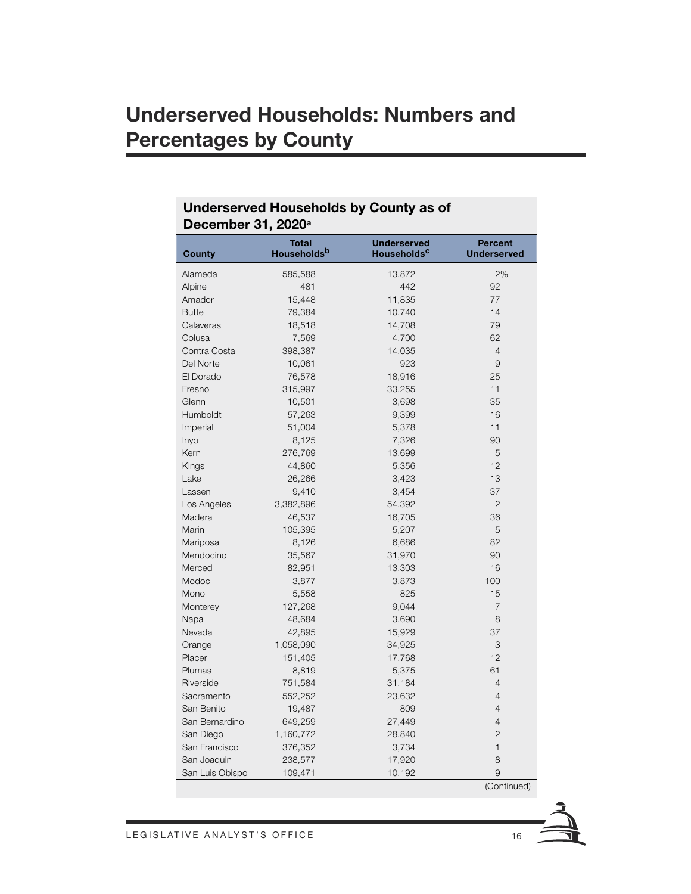### **Underserved Households: Numbers and Percentages by County**

| December 31, 2020 <sup>a</sup> |                             |                                               |                                      |  |
|--------------------------------|-----------------------------|-----------------------------------------------|--------------------------------------|--|
| <b>County</b>                  | <b>Total</b><br>Householdsb | <b>Underserved</b><br>Households <sup>c</sup> | <b>Percent</b><br><b>Underserved</b> |  |
| Alameda                        | 585,588                     | 13,872                                        | 2%                                   |  |
| Alpine                         | 481                         | 442                                           | 92                                   |  |
| Amador                         | 15,448                      | 11,835                                        | 77                                   |  |
| <b>Butte</b>                   | 79,384                      | 10,740                                        | 14                                   |  |
| Calaveras                      | 18,518                      | 14,708                                        | 79                                   |  |
| Colusa                         | 7,569                       | 4,700                                         | 62                                   |  |
| Contra Costa                   | 398,387                     | 14,035                                        | $\overline{4}$                       |  |
| Del Norte                      | 10,061                      | 923                                           | $\overline{9}$                       |  |
| El Dorado                      | 76,578                      | 18,916                                        | 25                                   |  |
| Fresno                         | 315,997                     | 33,255                                        | 11                                   |  |
| Glenn                          | 10,501                      | 3,698                                         | 35                                   |  |
| Humboldt                       | 57,263                      | 9,399                                         | 16                                   |  |
| Imperial                       | 51,004                      | 5,378                                         | 11                                   |  |
| Inyo                           | 8,125                       | 7,326                                         | 90                                   |  |
| Kern                           | 276,769                     | 13,699                                        | 5                                    |  |
| Kings                          | 44,860                      | 5,356                                         | 12                                   |  |
| Lake                           | 26,266                      | 3,423                                         | 13                                   |  |
| Lassen                         | 9,410                       | 3,454                                         | 37                                   |  |
| Los Angeles                    | 3,382,896                   | 54,392                                        | $\overline{2}$                       |  |
| Madera                         | 46,537                      | 16,705                                        | 36                                   |  |
| Marin                          | 105,395                     | 5,207                                         | 5                                    |  |
| Mariposa                       | 8,126                       | 6,686                                         | 82                                   |  |
| Mendocino                      | 35,567                      | 31,970                                        | 90                                   |  |
| Merced                         | 82,951                      | 13,303                                        | 16                                   |  |
| Modoc                          | 3,877                       | 3,873                                         | 100                                  |  |
| Mono                           | 5,558                       | 825                                           | 15                                   |  |
| Monterey                       | 127,268                     | 9,044                                         | $\overline{7}$                       |  |
| Napa                           | 48,684                      | 3,690                                         | 8                                    |  |
| Nevada                         | 42,895                      | 15,929                                        | 37                                   |  |
| Orange                         | 1,058,090                   | 34,925                                        | 3                                    |  |
| Placer                         | 151,405                     | 17,768                                        | 12                                   |  |
| Plumas                         | 8,819                       | 5,375                                         | 61                                   |  |
| Riverside                      | 751,584                     | 31,184                                        | $\overline{4}$                       |  |
| Sacramento                     | 552,252                     | 23,632                                        | $\overline{4}$                       |  |
| San Benito                     | 19,487                      | 809                                           | $\overline{4}$                       |  |
| San Bernardino                 | 649,259                     | 27,449                                        | $\overline{4}$                       |  |
| San Diego                      | 1,160,772                   | 28,840                                        | $\overline{2}$                       |  |
| San Francisco                  | 376,352                     | 3,734                                         | $\mathbf{1}$                         |  |
| San Joaquin                    | 238,577                     | 17,920                                        | 8                                    |  |
| San Luis Obispo                | 109,471                     | 10,192                                        | 9                                    |  |

## **Underserved Households by County as of**

(Continued)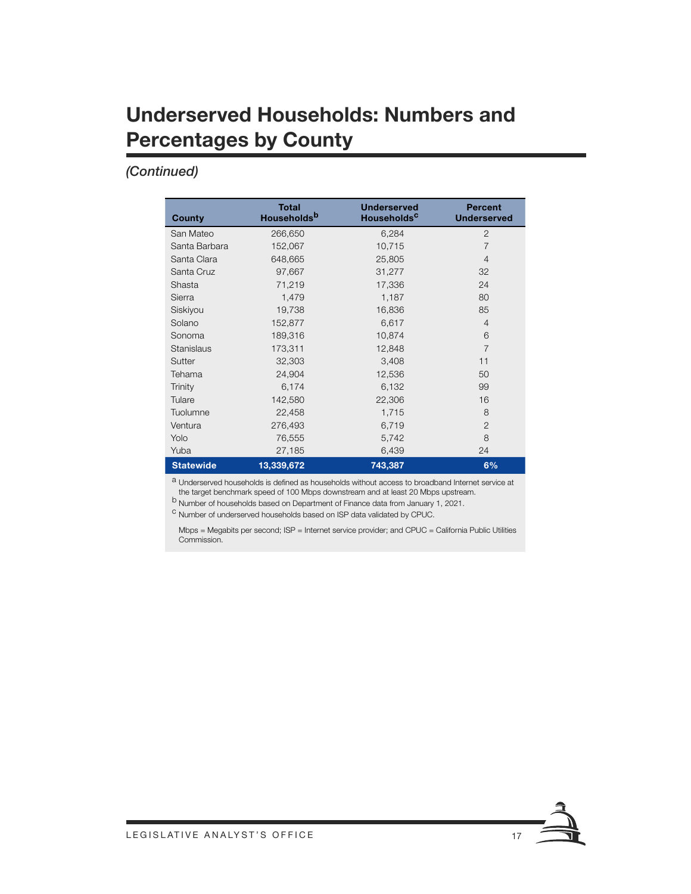### **Underserved Households: Numbers and Percentages by County**

#### *(Continued)*

| <b>County</b>    | <b>Total</b><br>Households <sup>b</sup> | <b>Underserved</b><br><b>Households<sup>C</sup></b> | <b>Percent</b><br><b>Underserved</b> |
|------------------|-----------------------------------------|-----------------------------------------------------|--------------------------------------|
| San Mateo        | 266,650                                 | 6,284                                               | $\overline{2}$                       |
| Santa Barbara    | 152,067                                 | 10,715                                              | $\overline{7}$                       |
| Santa Clara      | 648,665                                 | 25,805                                              | $\overline{4}$                       |
| Santa Cruz       | 97,667                                  | 31,277                                              | 32                                   |
| Shasta           | 71,219                                  | 17,336                                              | 24                                   |
| Sierra           | 1,479                                   | 1,187                                               | 80                                   |
| Siskiyou         | 19,738                                  | 16,836                                              | 85                                   |
| Solano           | 152,877                                 | 6,617                                               | $\overline{4}$                       |
| Sonoma           | 189,316                                 | 10,874                                              | 6                                    |
| Stanislaus       | 173,311                                 | 12,848                                              | $\overline{7}$                       |
| Sutter           | 32,303                                  | 3,408                                               | 11                                   |
| Tehama           | 24,904                                  | 12,536                                              | 50                                   |
| Trinity          | 6,174                                   | 6,132                                               | 99                                   |
| Tulare           | 142,580                                 | 22,306                                              | 16                                   |
| Tuolumne         | 22,458                                  | 1,715                                               | 8                                    |
| Ventura          | 276,493                                 | 6,719                                               | $\overline{2}$                       |
| Yolo             | 76,555                                  | 5,742                                               | 8                                    |
| Yuba             | 27,185                                  | 6,439                                               | 24                                   |
| <b>Statewide</b> | 13,339,672                              | 743,387                                             | 6%                                   |

<sup>a</sup> Underserved households is defined as households without access to broadband Internet service at the target benchmark speed of 100 Mbps downstream and at least 20 Mbps upstream.

b Number of households based on Department of Finance data from January 1, 2021.

<sup>c</sup> Number of underserved households based on ISP data validated by CPUC.

Mbps = Megabits per second; ISP = Internet service provider; and CPUC = California Public Utilities Commission.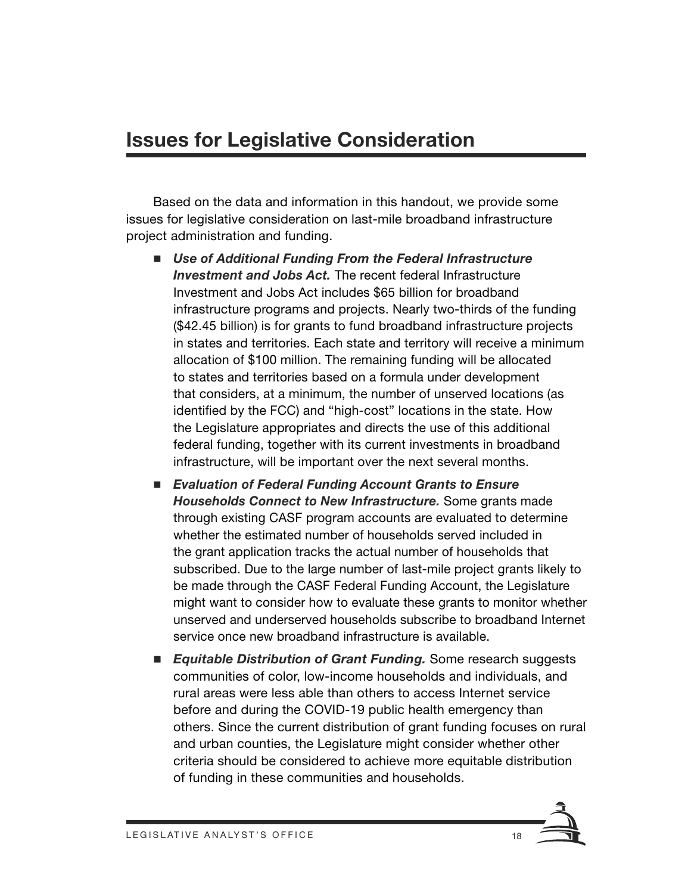### **Issues for Legislative Consideration**

Based on the data and information in this handout, we provide some issues for legislative consideration on last-mile broadband infrastructure project administration and funding.

- Use of Additional Funding From the Federal Infrastructure *Investment and Jobs Act.* The recent federal Infrastructure Investment and Jobs Act includes \$65 billion for broadband infrastructure programs and projects. Nearly two-thirds of the funding (\$42.45 billion) is for grants to fund broadband infrastructure projects in states and territories. Each state and territory will receive a minimum allocation of \$100 million. The remaining funding will be allocated to states and territories based on a formula under development that considers, at a minimum, the number of unserved locations (as identified by the FCC) and "high-cost" locations in the state. How the Legislature appropriates and directs the use of this additional federal funding, together with its current investments in broadband infrastructure, will be important over the next several months.
- *Evaluation of Federal Funding Account Grants to Ensure Households Connect to New Infrastructure.* Some grants made through existing CASF program accounts are evaluated to determine whether the estimated number of households served included in the grant application tracks the actual number of households that subscribed. Due to the large number of last-mile project grants likely to be made through the CASF Federal Funding Account, the Legislature might want to consider how to evaluate these grants to monitor whether unserved and underserved households subscribe to broadband Internet service once new broadband infrastructure is available.
- *Equitable Distribution of Grant Funding.* Some research suggests communities of color, low-income households and individuals, and rural areas were less able than others to access Internet service before and during the COVID-19 public health emergency than others. Since the current distribution of grant funding focuses on rural and urban counties, the Legislature might consider whether other criteria should be considered to achieve more equitable distribution of funding in these communities and households.